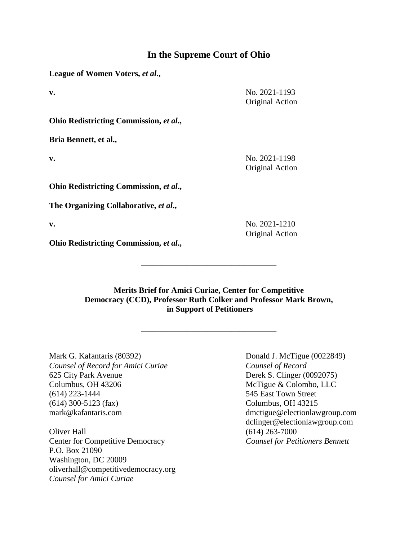## **In the Supreme Court of Ohio**

**League of Women Voters,** *et al***.,**

**v.** No. 2021-1193 Original Action

**Ohio Redistricting Commission,** *et al***.,**

**Bria Bennett, et al.,**

**v.** No. 2021-1198 Original Action

**Ohio Redistricting Commission,** *et al***.,**

**The Organizing Collaborative,** *et al***.,**

**v.** No. 2021-1210 Original Action

**Ohio Redistricting Commission,** *et al***.,**

**Merits Brief for Amici Curiae, Center for Competitive Democracy (CCD), Professor Ruth Colker and Professor Mark Brown, in Support of Petitioners**

**\_\_\_\_\_\_\_\_\_\_\_\_\_\_\_\_\_\_\_\_\_\_\_\_\_\_\_\_\_\_\_\_\_**

**\_\_\_\_\_\_\_\_\_\_\_\_\_\_\_\_\_\_\_\_\_\_\_\_\_\_\_\_\_\_\_\_\_**

Mark G. Kafantaris (80392) Donald J. McTigue (0022849) *Counsel of Record for Amici Curiae Counsel of Record* 625 City Park Avenue Derek S. Clinger (0092075) Columbus, OH 43206 McTigue & Colombo, LLC (614) 223-1444 545 East Town Street (614) 300-5123 (fax) Columbus, OH 43215 mark@kafantaris.com dmctigue@electionlawgroup.com

Oliver Hall (614) 263-7000 Center for Competitive Democracy *Counsel for Petitioners Bennett* P.O. Box 21090 Washington, DC 20009 [oliverhall@competitivedemocracy.org](mailto:oliverhall@competitivedemocracy.org) *Counsel for Amici Curiae*

dclinger@electionlawgroup.com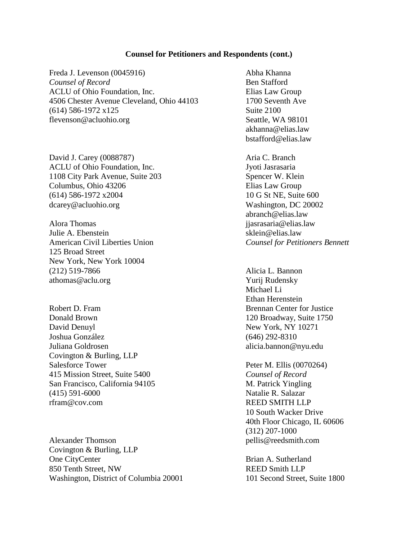#### **Counsel for Petitioners and Respondents (cont.)**

Freda J. Levenson (0045916) Abha Khanna *Counsel of Record* Ben Stafford ACLU of Ohio Foundation, Inc. Elias Law Group 4506 Chester Avenue Cleveland, Ohio 44103 1700 Seventh Ave (614) 586-1972 x125 Suite 2100 flevenson@acluohio.org Seattle, WA 98101

David J. Carey (0088787) Aria C. Branch ACLU of Ohio Foundation, Inc. Jyoti Jasrasaria 1108 City Park Avenue, Suite 203 Spencer W. Klein Columbus, Ohio 43206 Elias Law Group (614) 586-1972 x2004 10 G St NE, Suite 600 dcarey@acluohio.org Washington, DC 20002

Alora Thomas **iiasrasaria@elias.law** iiasrasaria@elias.law Julie A. Ebenstein sklein@elias.law American Civil Liberties Union *Counsel for Petitioners Bennett* 125 Broad Street New York, New York 10004 (212) 519-7866 Alicia L. Bannon athomas@aclu.org Yurij Rudensky

Donald Brown 120 Broadway, Suite 1750 David Denuyl New York, NY 10271 Joshua González (646) 292-8310 Juliana Goldrosen alicia.bannon@nyu.edu Covington & Burling, LLP Salesforce Tower Peter M. Ellis (0070264) 415 Mission Street, Suite 5400 *Counsel of Record*  San Francisco, California 94105 M. Patrick Yingling (415) 591-6000 Natalie R. Salazar rfram@cov.com REED SMITH LLP

Alexander Thomson pellis@reedsmith.com Covington & Burling, LLP One CityCenter Brian A. Sutherland 850 Tenth Street, NW REED Smith LLP Washington, District of Columbia 20001 101 Second Street, Suite 1800

akhanna@elias.law bstafford@elias.law

abranch@elias.law

Michael Li Ethan Herenstein Robert D. Fram Brennan Center for Justice

> 10 South Wacker Drive 40th Floor Chicago, IL 60606 (312) 207-1000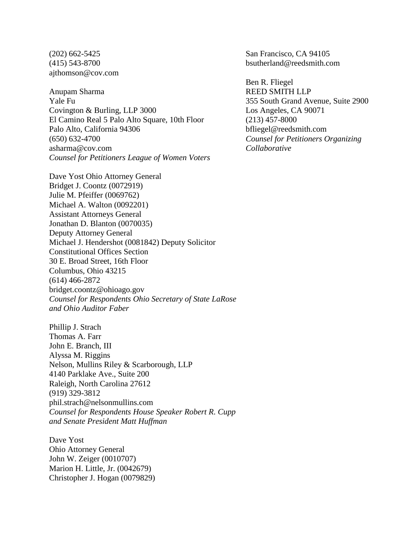ajthomson@cov.com

Anupam Sharma REED SMITH LLP Yale Fu 355 South Grand Avenue, Suite 2900 Covington & Burling, LLP 3000 Los Angeles, CA 90071 El Camino Real 5 Palo Alto Square, 10th Floor (213) 457-8000 Palo Alto, California 94306 bfliegel@reedsmith.com (650) 632-4700 *Counsel for Petitioners Organizing*  asharma@cov.com *Collaborative Counsel for Petitioners League of Women Voters*

Dave Yost Ohio Attorney General Bridget J. Coontz (0072919) Julie M. Pfeiffer (0069762) Michael A. Walton (0092201) Assistant Attorneys General Jonathan D. Blanton (0070035) Deputy Attorney General Michael J. Hendershot (0081842) Deputy Solicitor Constitutional Offices Section 30 E. Broad Street, 16th Floor Columbus, Ohio 43215 (614) 466-2872 bridget.coontz@ohioago.gov *Counsel for Respondents Ohio Secretary of State LaRose and Ohio Auditor Faber*

Phillip J. Strach Thomas A. Farr John E. Branch, III Alyssa M. Riggins Nelson, Mullins Riley & Scarborough, LLP 4140 Parklake Ave., Suite 200 Raleigh, North Carolina 27612 (919) 329-3812 phil.strach@nelsonmullins.com *Counsel for Respondents House Speaker Robert R. Cupp and Senate President Matt Huffman* 

Dave Yost Ohio Attorney General John W. Zeiger (0010707) Marion H. Little, Jr. (0042679) Christopher J. Hogan (0079829)

(202) 662-5425 San Francisco, CA 94105 (415) 543-8700 bsutherland@reedsmith.com

Ben R. Fliegel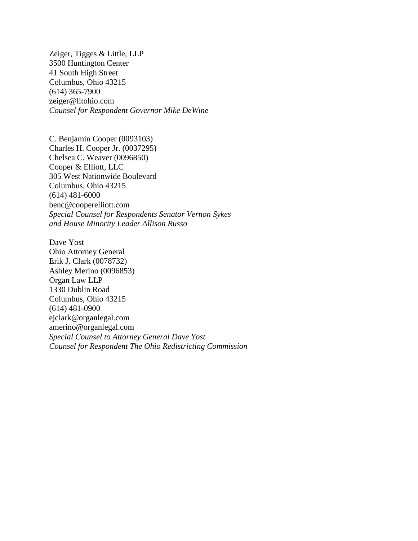Zeiger, Tigges & Little, LLP 3500 Huntington Center 41 South High Street Columbus, Ohio 43215 (614) 365-7900 zeiger@litohio.com *Counsel for Respondent Governor Mike DeWine* 

C. Benjamin Cooper (0093103) Charles H. Cooper Jr. (0037295) Chelsea C. Weaver (0096850) Cooper & Elliott, LLC 305 West Nationwide Boulevard Columbus, Ohio 43215 (614) 481-6000 benc@cooperelliott.com *Special Counsel for Respondents Senator Vernon Sykes and House Minority Leader Allison Russo*

Dave Yost Ohio Attorney General Erik J. Clark (0078732) Ashley Merino (0096853) Organ Law LLP 1330 Dublin Road Columbus, Ohio 43215 (614) 481-0900 ejclark@organlegal.com amerino@organlegal.com *Special Counsel to Attorney General Dave Yost Counsel for Respondent The Ohio Redistricting Commission*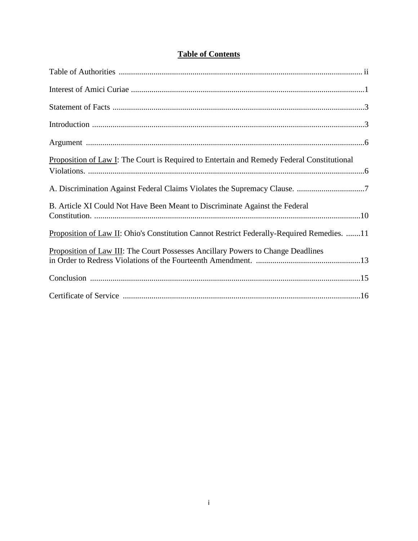|  | <b>Table of Contents</b> |
|--|--------------------------|
|  |                          |

| Proposition of Law I: The Court is Required to Entertain and Remedy Federal Constitutional |
|--------------------------------------------------------------------------------------------|
|                                                                                            |
| B. Article XI Could Not Have Been Meant to Discriminate Against the Federal                |
| Proposition of Law II: Ohio's Constitution Cannot Restrict Federally-Required Remedies. 11 |
| Proposition of Law III: The Court Possesses Ancillary Powers to Change Deadlines           |
|                                                                                            |
|                                                                                            |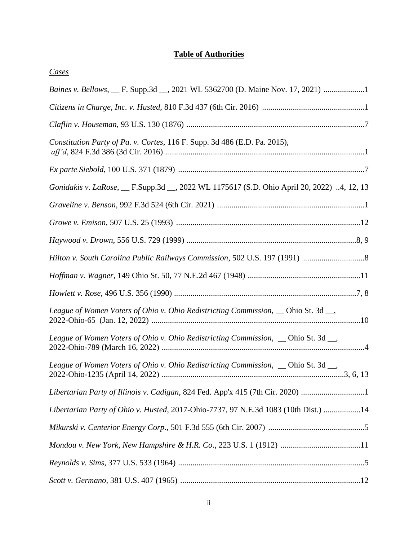## **Table of Authorities**

| Cases                                                                                        |
|----------------------------------------------------------------------------------------------|
| Baines v. Bellows, __ F. Supp.3d __, 2021 WL 5362700 (D. Maine Nov. 17, 2021) 1              |
|                                                                                              |
|                                                                                              |
| Constitution Party of Pa. v. Cortes, 116 F. Supp. 3d 486 (E.D. Pa. 2015),                    |
|                                                                                              |
| Gonidakis v. LaRose, __ F.Supp.3d __, 2022 WL 1175617 (S.D. Ohio April 20, 2022) 4, 12, 13   |
|                                                                                              |
|                                                                                              |
|                                                                                              |
|                                                                                              |
|                                                                                              |
|                                                                                              |
| League of Women Voters of Ohio v. Ohio Redistricting Commission,  solio St. 3d  solid No.    |
| League of Women Voters of Ohio v. Ohio Redistricting Commission, $\Box$ Ohio St. 3d $\Box$ , |
| League of Women Voters of Ohio v. Ohio Redistricting Commission, $\Box$ Ohio St. 3d $\Box$ , |
|                                                                                              |
| Libertarian Party of Ohio v. Husted, 2017-Ohio-7737, 97 N.E.3d 1083 (10th Dist.) 14          |
|                                                                                              |
| Mondou v. New York, New Hampshire & H.R. Co., 223 U.S. 1 (1912) 11                           |
|                                                                                              |
|                                                                                              |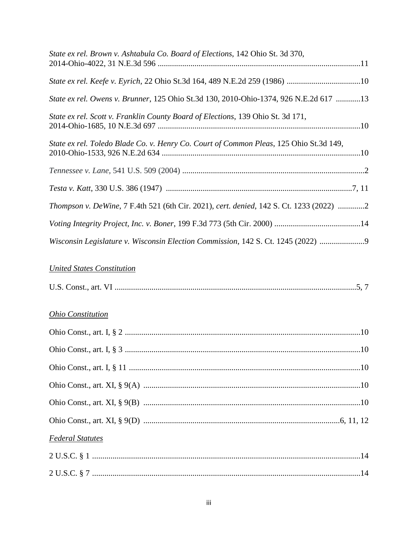| State ex rel. Brown v. Ashtabula Co. Board of Elections, 142 Ohio St. 3d 370,           |
|-----------------------------------------------------------------------------------------|
|                                                                                         |
| State ex rel. Owens v. Brunner, 125 Ohio St.3d 130, 2010-Ohio-1374, 926 N.E.2d 617 13   |
| State ex rel. Scott v. Franklin County Board of Elections, 139 Ohio St. 3d 171,         |
| State ex rel. Toledo Blade Co. v. Henry Co. Court of Common Pleas, 125 Ohio St.3d 149,  |
|                                                                                         |
|                                                                                         |
| Thompson v. DeWine, 7 F.4th 521 (6th Cir. 2021), cert. denied, 142 S. Ct. 1233 (2022) 2 |
|                                                                                         |
| Wisconsin Legislature v. Wisconsin Election Commission, 142 S. Ct. 1245 (2022)          |

# *United States Constitution*

| U.S. Const., art. |  |  |  |
|-------------------|--|--|--|
|-------------------|--|--|--|

## *Ohio Constitution*

| <b>Federal Statutes</b> |  |
|-------------------------|--|
|                         |  |
|                         |  |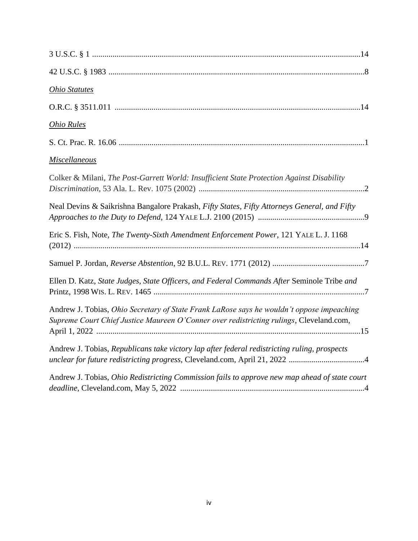| <b>Ohio Statutes</b>                                                                                                                                                                 |
|--------------------------------------------------------------------------------------------------------------------------------------------------------------------------------------|
|                                                                                                                                                                                      |
| <b>Ohio Rules</b>                                                                                                                                                                    |
|                                                                                                                                                                                      |
| <b>Miscellaneous</b>                                                                                                                                                                 |
| Colker & Milani, The Post-Garrett World: Insufficient State Protection Against Disability                                                                                            |
| Neal Devins & Saikrishna Bangalore Prakash, Fifty States, Fifty Attorneys General, and Fifty                                                                                         |
| Eric S. Fish, Note, The Twenty-Sixth Amendment Enforcement Power, 121 YALE L. J. 1168                                                                                                |
|                                                                                                                                                                                      |
| Ellen D. Katz, State Judges, State Officers, and Federal Commands After Seminole Tribe and                                                                                           |
| Andrew J. Tobias, Ohio Secretary of State Frank LaRose says he wouldn't oppose impeaching<br>Supreme Court Chief Justice Maureen O'Conner over redistricting rulings, Cleveland.com, |
| Andrew J. Tobias, Republicans take victory lap after federal redistricting ruling, prospects                                                                                         |
| Andrew J. Tobias, Ohio Redistricting Commission fails to approve new map ahead of state court                                                                                        |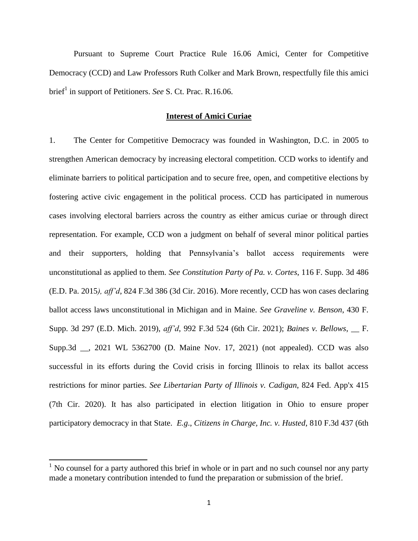Pursuant to Supreme Court Practice Rule 16.06 Amici, Center for Competitive Democracy (CCD) and Law Professors Ruth Colker and Mark Brown, respectfully file this amici brief<sup>1</sup> in support of Petitioners. *See* S. Ct. Prac. R.16.06.

### **Interest of Amici Curiae**

1. The Center for Competitive Democracy was founded in Washington, D.C. in 2005 to strengthen American democracy by increasing electoral competition. CCD works to identify and eliminate barriers to political participation and to secure free, open, and competitive elections by fostering active civic engagement in the political process. CCD has participated in numerous cases involving electoral barriers across the country as either amicus curiae or through direct representation. For example, CCD won a judgment on behalf of several minor political parties and their supporters, holding that Pennsylvania's ballot access requirements were unconstitutional as applied to them. *See Constitution Party of Pa. v. Cortes*, 116 F. Supp. 3d 486 (E.D. Pa. 2015*), aff'd*, 824 F.3d 386 (3d Cir. 2016). More recently, CCD has won cases declaring ballot access laws unconstitutional in Michigan and in Maine. *See Graveline v. Benson*, 430 F. Supp. 3d 297 (E.D. Mich. 2019), *aff'd*, 992 F.3d 524 (6th Cir. 2021); *Baines v. Bellows*, \_\_ F. Supp.3d \_\_, 2021 WL 5362700 (D. Maine Nov. 17, 2021) (not appealed). CCD was also successful in its efforts during the Covid crisis in forcing Illinois to relax its ballot access restrictions for minor parties. *See Libertarian Party of Illinois v. Cadigan*, 824 Fed. App'x 415 (7th Cir. 2020). It has also participated in election litigation in Ohio to ensure proper participatory democracy in that State. *E.g*., *Citizens in Charge, Inc. v. Husted*, 810 F.3d 437 (6th

 $\overline{\phantom{a}}$ 

 $<sup>1</sup>$  No counsel for a party authored this brief in whole or in part and no such counsel nor any party</sup> made a monetary contribution intended to fund the preparation or submission of the brief.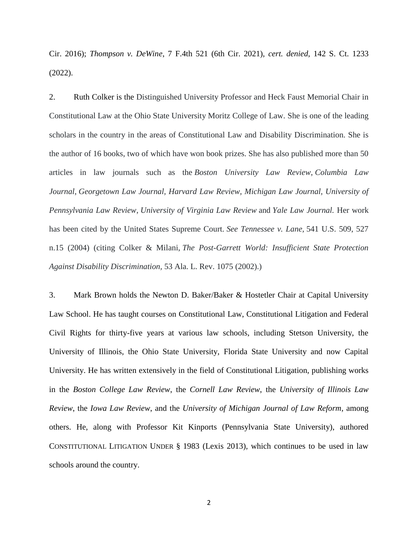Cir. 2016); *Thompson v. DeWine*, 7 F.4th 521 (6th Cir. 2021), *cert. denied*, 142 S. Ct. 1233 (2022).

2. Ruth Colker is the Distinguished University Professor and Heck Faust Memorial Chair in Constitutional Law at the Ohio State University Moritz College of Law. She is one of the leading scholars in the country in the areas of Constitutional Law and Disability Discrimination. She is the author of 16 books, two of which have won book prizes. She has also published more than 50 articles in law journals such as the *Boston University Law Review*, *Columbia Law Journal*, *Georgetown Law Journal, Harvard Law Review, Michigan Law Journal, University of Pennsylvania Law Review*, *University of Virginia Law Review* and *Yale Law Journal.* Her work has been cited by the United States Supreme Court. *See Tennessee v. Lane,* 541 U.S. 509, 527 n.15 (2004) (citing Colker & Milani, *The Post-Garrett World: Insufficient State Protection Against Disability Discrimination,* 53 Ala. L. Rev. 1075 (2002).)

3. Mark Brown holds the Newton D. Baker/Baker & Hostetler Chair at Capital University Law School. He has taught courses on Constitutional Law, Constitutional Litigation and Federal Civil Rights for thirty-five years at various law schools, including Stetson University, the University of Illinois, the Ohio State University, Florida State University and now Capital University. He has written extensively in the field of Constitutional Litigation, publishing works in the *Boston College Law Review*, the *Cornell Law Review*, the *University of Illinois Law Review*, the *Iowa Law Review*, and the *University of Michigan Journal of Law Reform*, among others. He, along with Professor Kit Kinports (Pennsylvania State University), authored CONSTITUTIONAL LITIGATION UNDER § 1983 (Lexis 2013), which continues to be used in law schools around the country.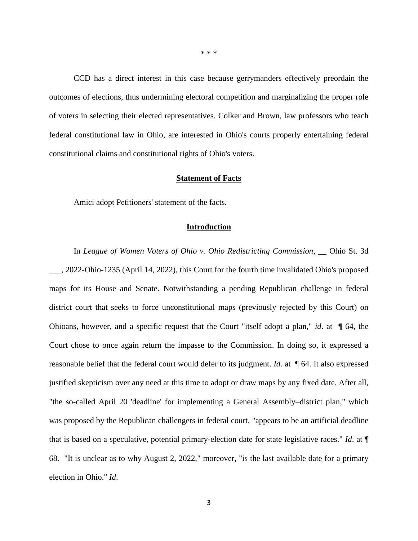CCD has a direct interest in this case because gerrymanders effectively preordain the outcomes of elections, thus undermining electoral competition and marginalizing the proper role of voters in selecting their elected representatives. Colker and Brown, law professors who teach federal constitutional law in Ohio, are interested in Ohio's courts properly entertaining federal constitutional claims and constitutional rights of Ohio's voters.

#### **Statement of Facts**

Amici adopt Petitioners' statement of the facts.

### **Introduction**

In *League of Women Voters of Ohio v. Ohio Redistricting Commission*, \_\_ Ohio St. 3d \_\_\_, 2022-Ohio-1235 (April 14, 2022), this Court for the fourth time invalidated Ohio's proposed maps for its House and Senate. Notwithstanding a pending Republican challenge in federal district court that seeks to force unconstitutional maps (previously rejected by this Court) on Ohioans, however, and a specific request that the Court "itself adopt a plan," *id*. at ¶ 64, the Court chose to once again return the impasse to the Commission. In doing so, it expressed a reasonable belief that the federal court would defer to its judgment. *Id*. at ¶ 64. It also expressed justified skepticism over any need at this time to adopt or draw maps by any fixed date. After all, "the so-called April 20 'deadline' for implementing a General Assembly–district plan," which was proposed by the Republican challengers in federal court, "appears to be an artificial deadline that is based on a speculative, potential primary-election date for state legislative races." *Id*. at ¶ 68. "It is unclear as to why August 2, 2022," moreover, "is the last available date for a primary election in Ohio." *Id*.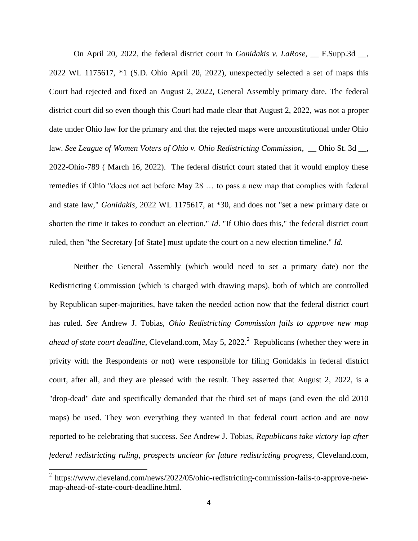On April 20, 2022, the federal district court in *Gonidakis v. LaRose*, \_\_ F.Supp.3d \_\_, 2022 WL 1175617, \*1 (S.D. Ohio April 20, 2022), unexpectedly selected a set of maps this Court had rejected and fixed an August 2, 2022, General Assembly primary date. The federal district court did so even though this Court had made clear that August 2, 2022, was not a proper date under Ohio law for the primary and that the rejected maps were unconstitutional under Ohio law. *See League of Women Voters of Ohio v. Ohio Redistricting Commission*, \_\_ Ohio St. 3d \_\_, 2022-Ohio-789 ( March 16, 2022). The federal district court stated that it would employ these remedies if Ohio "does not act before May 28 … to pass a new map that complies with federal and state law," *Gonidakis*, 2022 WL 1175617, at \*30, and does not "set a new primary date or shorten the time it takes to conduct an election." *Id*. "If Ohio does this," the federal district court ruled, then "the Secretary [of State] must update the court on a new election timeline." *Id*.

Neither the General Assembly (which would need to set a primary date) nor the Redistricting Commission (which is charged with drawing maps), both of which are controlled by Republican super-majorities, have taken the needed action now that the federal district court has ruled. *See* Andrew J. Tobias, *Ohio Redistricting Commission fails to approve new map ahead of state court deadline*, Cleveland.com, May 5, 2022. <sup>2</sup> Republicans (whether they were in privity with the Respondents or not) were responsible for filing Gonidakis in federal district court, after all, and they are pleased with the result. They asserted that August 2, 2022, is a "drop-dead" date and specifically demanded that the third set of maps (and even the old 2010 maps) be used. They won everything they wanted in that federal court action and are now reported to be celebrating that success. *See* Andrew J. Tobias, *Republicans take victory lap after federal redistricting ruling, prospects unclear for future redistricting progress*, Cleveland.com,

 2 https://www.cleveland.com/news/2022/05/ohio-redistricting-commission-fails-to-approve-newmap-ahead-of-state-court-deadline.html.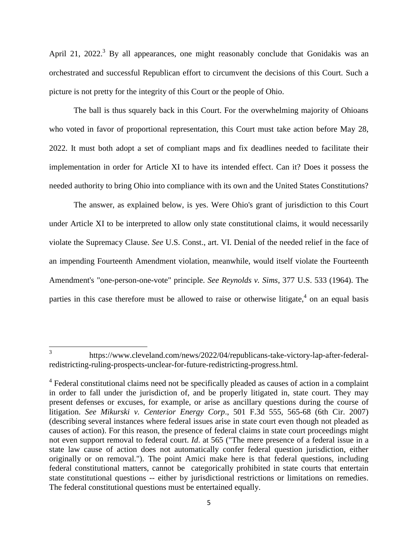April 21, 2022.<sup>3</sup> By all appearances, one might reasonably conclude that Gonidakis was an orchestrated and successful Republican effort to circumvent the decisions of this Court. Such a picture is not pretty for the integrity of this Court or the people of Ohio.

The ball is thus squarely back in this Court. For the overwhelming majority of Ohioans who voted in favor of proportional representation, this Court must take action before May 28, 2022. It must both adopt a set of compliant maps and fix deadlines needed to facilitate their implementation in order for Article XI to have its intended effect. Can it? Does it possess the needed authority to bring Ohio into compliance with its own and the United States Constitutions?

The answer, as explained below, is yes. Were Ohio's grant of jurisdiction to this Court under Article XI to be interpreted to allow only state constitutional claims, it would necessarily violate the Supremacy Clause. *See* U.S. Const., art. VI. Denial of the needed relief in the face of an impending Fourteenth Amendment violation, meanwhile, would itself violate the Fourteenth Amendment's "one-person-one-vote" principle. *See Reynolds v. Sims*, 377 U.S. 533 (1964). The parties in this case therefore must be allowed to raise or otherwise litigate, $4$  on an equal basis

 $\frac{1}{3}$ 

https://www.cleveland.com/news/2022/04/republicans-take-victory-lap-after-federalredistricting-ruling-prospects-unclear-for-future-redistricting-progress.html.

<sup>&</sup>lt;sup>4</sup> Federal constitutional claims need not be specifically pleaded as causes of action in a complaint in order to fall under the jurisdiction of, and be properly litigated in, state court. They may present defenses or excuses, for example, or arise as ancillary questions during the course of litigation. *See Mikurski v. Centerior Energy Corp*., 501 F.3d 555, 565-68 (6th Cir. 2007) (describing several instances where federal issues arise in state court even though not pleaded as causes of action). For this reason, the presence of federal claims in state court proceedings might not even support removal to federal court. *Id*. at 565 ("The mere presence of a federal issue in a state law cause of action does not automatically confer federal question jurisdiction, either originally or on removal."). The point Amici make here is that federal questions, including federal constitutional matters, cannot be categorically prohibited in state courts that entertain state constitutional questions -- either by jurisdictional restrictions or limitations on remedies. The federal constitutional questions must be entertained equally.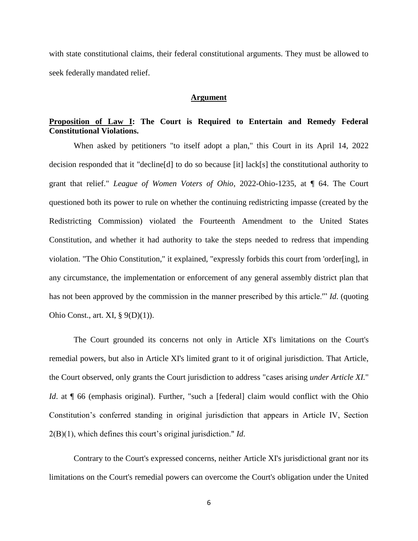with state constitutional claims, their federal constitutional arguments. They must be allowed to seek federally mandated relief.

#### **Argument**

## **Proposition of Law I: The Court is Required to Entertain and Remedy Federal Constitutional Violations.**

When asked by petitioners "to itself adopt a plan," this Court in its April 14, 2022 decision responded that it "decline[d] to do so because [it] lack[s] the constitutional authority to grant that relief." *League of Women Voters of Ohio*, 2022-Ohio-1235, at ¶ 64. The Court questioned both its power to rule on whether the continuing redistricting impasse (created by the Redistricting Commission) violated the Fourteenth Amendment to the United States Constitution, and whether it had authority to take the steps needed to redress that impending violation. "The Ohio Constitution," it explained, "expressly forbids this court from 'order[ing], in any circumstance, the implementation or enforcement of any general assembly district plan that has not been approved by the commission in the manner prescribed by this article.'" *Id*. (quoting Ohio Const., art. XI, § 9(D)(1)).

The Court grounded its concerns not only in Article XI's limitations on the Court's remedial powers, but also in Article XI's limited grant to it of original jurisdiction. That Article, the Court observed, only grants the Court jurisdiction to address "cases arising *under Article XI.*" *Id.* at  $\P$  66 (emphasis original). Further, "such a [federal] claim would conflict with the Ohio Constitution's conferred standing in original jurisdiction that appears in Article IV, Section 2(B)(1), which defines this court's original jurisdiction." *Id*.

Contrary to the Court's expressed concerns, neither Article XI's jurisdictional grant nor its limitations on the Court's remedial powers can overcome the Court's obligation under the United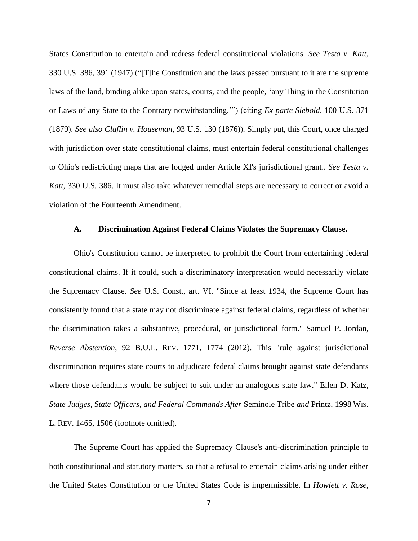States Constitution to entertain and redress federal constitutional violations. *See Testa v. Katt*, 330 U.S. 386, 391 (1947) ("[T]he Constitution and the laws passed pursuant to it are the supreme laws of the land, binding alike upon states, courts, and the people, 'any Thing in the Constitution or Laws of any State to the Contrary notwithstanding.'") (citing *Ex parte Siebold*, 100 U.S. 371 (1879). *See also Claflin v. Houseman*, 93 U.S. 130 (1876)). Simply put, this Court, once charged with jurisdiction over state constitutional claims, must entertain federal constitutional challenges to Ohio's redistricting maps that are lodged under Article XI's jurisdictional grant.. *See Testa v. Katt*, 330 U.S. 386. It must also take whatever remedial steps are necessary to correct or avoid a violation of the Fourteenth Amendment.

### **A. Discrimination Against Federal Claims Violates the Supremacy Clause.**

Ohio's Constitution cannot be interpreted to prohibit the Court from entertaining federal constitutional claims. If it could, such a discriminatory interpretation would necessarily violate the Supremacy Clause. *See* U.S. Const., art. VI. "Since at least 1934, the Supreme Court has consistently found that a state may not discriminate against federal claims, regardless of whether the discrimination takes a substantive, procedural, or jurisdictional form." Samuel P. Jordan, *Reverse Abstention*, 92 B.U.L. REV. 1771, 1774 (2012). This "rule against jurisdictional discrimination requires state courts to adjudicate federal claims brought against state defendants where those defendants would be subject to suit under an analogous state law." Ellen D. Katz, *State Judges, State Officers, and Federal Commands After* Seminole Tribe *and* Printz, 1998 WIS. L. REV. 1465, 1506 (footnote omitted).

The Supreme Court has applied the Supremacy Clause's anti-discrimination principle to both constitutional and statutory matters, so that a refusal to entertain claims arising under either the United States Constitution or the United States Code is impermissible. In *Howlett v. Rose*,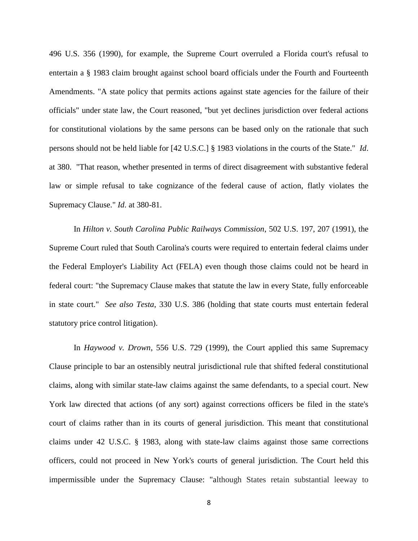496 U.S. 356 (1990), for example, the Supreme Court overruled a Florida court's refusal to entertain a § 1983 claim brought against school board officials under the Fourth and Fourteenth Amendments. "A state policy that permits actions against state agencies for the failure of their officials" under state law, the Court reasoned, "but yet declines jurisdiction over federal actions for constitutional violations by the same persons can be based only on the rationale that such persons should not be held liable for [42 U.S.C.] § 1983 violations in the courts of the State." *Id*. at 380. "That reason, whether presented in terms of direct disagreement with substantive federal law or simple refusal to take cognizance of the federal cause of action, flatly violates the Supremacy Clause." *Id*. at 380-81.

In *Hilton v. South Carolina Public Railways Commission*, 502 U.S. 197, 207 (1991), the Supreme Court ruled that South Carolina's courts were required to entertain federal claims under the Federal Employer's Liability Act (FELA) even though those claims could not be heard in federal court: "the Supremacy Clause makes that statute the law in every State, fully enforceable in state court." *See also Testa*, 330 U.S. 386 (holding that state courts must entertain federal statutory price control litigation).

In *Haywood v. Drown*, 556 U.S. 729 (1999), the Court applied this same Supremacy Clause principle to bar an ostensibly neutral jurisdictional rule that shifted federal constitutional claims, along with similar state-law claims against the same defendants, to a special court. New York law directed that actions (of any sort) against corrections officers be filed in the state's court of claims rather than in its courts of general jurisdiction. This meant that constitutional claims under 42 U.S.C. § 1983, along with state-law claims against those same corrections officers, could not proceed in New York's courts of general jurisdiction. The Court held this impermissible under the Supremacy Clause: "although States retain substantial leeway to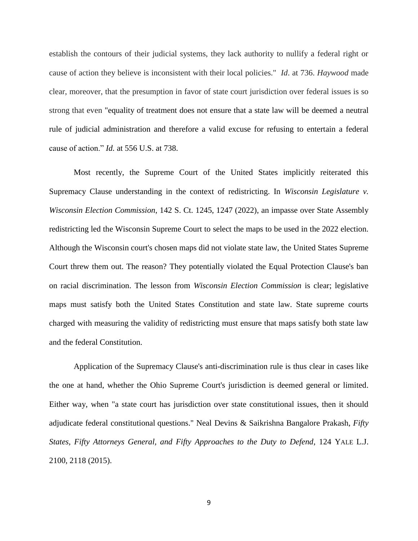establish the contours of their judicial systems, they lack authority to nullify a federal right or cause of action they believe is inconsistent with their local policies." *Id*. at 736. *Haywood* made clear, moreover, that the presumption in favor of state court jurisdiction over federal issues is so strong that even "equality of treatment does not ensure that a state law will be deemed a neutral rule of judicial administration and therefore a valid excuse for refusing to entertain a federal cause of action." *Id.* at 556 U.S. at 738.

Most recently, the Supreme Court of the United States implicitly reiterated this Supremacy Clause understanding in the context of redistricting. In *Wisconsin Legislature v. Wisconsin Election Commission*, 142 S. Ct. 1245, 1247 (2022), an impasse over State Assembly redistricting led the Wisconsin Supreme Court to select the maps to be used in the 2022 election. Although the Wisconsin court's chosen maps did not violate state law, the United States Supreme Court threw them out. The reason? They potentially violated the Equal Protection Clause's ban on racial discrimination. The lesson from *Wisconsin Election Commission* is clear; legislative maps must satisfy both the United States Constitution and state law. State supreme courts charged with measuring the validity of redistricting must ensure that maps satisfy both state law and the federal Constitution.

Application of the Supremacy Clause's anti-discrimination rule is thus clear in cases like the one at hand, whether the Ohio Supreme Court's jurisdiction is deemed general or limited. Either way, when "a state court has jurisdiction over state constitutional issues, then it should adjudicate federal constitutional questions." Neal Devins & Saikrishna Bangalore Prakash, *Fifty States, Fifty Attorneys General, and Fifty Approaches to the Duty to Defend*, 124 YALE L.J. 2100, 2118 (2015).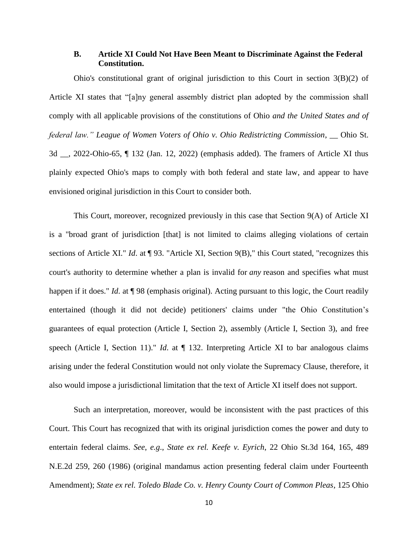## **B. Article XI Could Not Have Been Meant to Discriminate Against the Federal Constitution.**

Ohio's constitutional grant of original jurisdiction to this Court in section 3(B)(2) of Article XI states that "[a]ny general assembly district plan adopted by the commission shall comply with all applicable provisions of the constitutions of Ohio *and the United States and of federal law." League of Women Voters of Ohio v. Ohio Redistricting Commission*, \_\_ Ohio St. 3d \_\_, 2022-Ohio-65, ¶ 132 (Jan. 12, 2022) (emphasis added). The framers of Article XI thus plainly expected Ohio's maps to comply with both federal and state law, and appear to have envisioned original jurisdiction in this Court to consider both.

This Court, moreover, recognized previously in this case that Section 9(A) of Article XI is a "broad grant of jurisdiction [that] is not limited to claims alleging violations of certain sections of Article XI." *Id*. at ¶ 93. "Article XI, Section 9(B)," this Court stated, "recognizes this court's authority to determine whether a plan is invalid for *any* reason and specifies what must happen if it does." *Id.* at ¶ 98 (emphasis original). Acting pursuant to this logic, the Court readily entertained (though it did not decide) petitioners' claims under "the Ohio Constitution's guarantees of equal protection (Article I, Section 2), assembly (Article I, Section 3), and free speech (Article I, Section 11)." *Id.* at  $\P$  132. Interpreting Article XI to bar analogous claims arising under the federal Constitution would not only violate the Supremacy Clause, therefore, it also would impose a jurisdictional limitation that the text of Article XI itself does not support.

Such an interpretation, moreover, would be inconsistent with the past practices of this Court. This Court has recognized that with its original jurisdiction comes the power and duty to entertain federal claims. *See*, *e.g*., *State ex rel. Keefe v. Eyrich*, 22 Ohio St.3d 164, 165, 489 N.E.2d 259, 260 (1986) (original mandamus action presenting federal claim under Fourteenth Amendment); *State ex rel. Toledo Blade Co. v. Henry County Court of Common Pleas*, 125 Ohio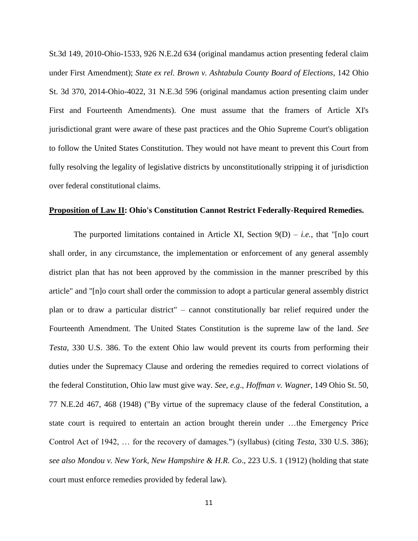St.3d 149, 2010-Ohio-1533, 926 N.E.2d 634 (original mandamus action presenting federal claim under First Amendment); *State ex rel. Brown v. Ashtabula County Board of Elections*, 142 Ohio St. 3d 370, 2014-Ohio-4022, 31 N.E.3d 596 (original mandamus action presenting claim under First and Fourteenth Amendments). One must assume that the framers of Article XI's jurisdictional grant were aware of these past practices and the Ohio Supreme Court's obligation to follow the United States Constitution. They would not have meant to prevent this Court from fully resolving the legality of legislative districts by unconstitutionally stripping it of jurisdiction over federal constitutional claims.

### **Proposition of Law II: Ohio's Constitution Cannot Restrict Federally-Required Remedies.**

The purported limitations contained in Article XI, Section  $9(D) - i.e.,$  that "[n]o court shall order, in any circumstance, the implementation or enforcement of any general assembly district plan that has not been approved by the commission in the manner prescribed by this article" and "[n]o court shall order the commission to adopt a particular general assembly district plan or to draw a particular district" – cannot constitutionally bar relief required under the Fourteenth Amendment. The United States Constitution is the supreme law of the land. *See Testa*, 330 U.S. 386. To the extent Ohio law would prevent its courts from performing their duties under the Supremacy Clause and ordering the remedies required to correct violations of the federal Constitution, Ohio law must give way. *See*, *e.g*., *Hoffman v. Wagner*, 149 Ohio St. 50, 77 N.E.2d 467, 468 (1948) ("By virtue of the supremacy clause of the federal Constitution, a state court is required to entertain an action brought therein under …the Emergency Price Control Act of 1942, … for the recovery of damages.") (syllabus) (citing *Testa*, 330 U.S. 386); *see also Mondou v. New York, New Hampshire & H.R. Co*., 223 U.S. 1 (1912) (holding that state court must enforce remedies provided by federal law).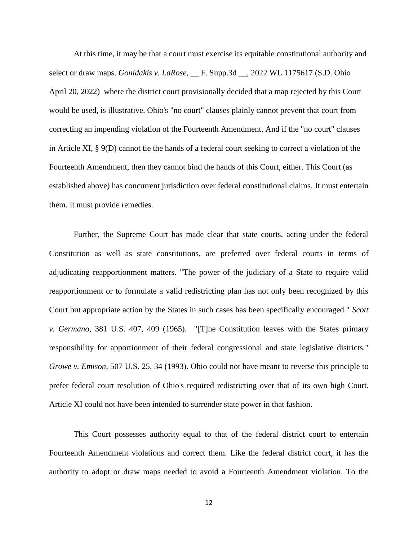At this time, it may be that a court must exercise its equitable constitutional authority and select or draw maps. *Gonidakis v. LaRose*, \_\_ F. Supp.3d \_\_, 2022 WL 1175617 (S.D. Ohio April 20, 2022) where the district court provisionally decided that a map rejected by this Court would be used, is illustrative. Ohio's "no court" clauses plainly cannot prevent that court from correcting an impending violation of the Fourteenth Amendment. And if the "no court" clauses in Article XI, § 9(D) cannot tie the hands of a federal court seeking to correct a violation of the Fourteenth Amendment, then they cannot bind the hands of this Court, either. This Court (as established above) has concurrent jurisdiction over federal constitutional claims. It must entertain them. It must provide remedies.

Further, the Supreme Court has made clear that state courts, acting under the federal Constitution as well as state constitutions, are preferred over federal courts in terms of adjudicating reapportionment matters. "The power of the judiciary of a State to require valid reapportionment or to formulate a valid redistricting plan has not only been recognized by this Court but appropriate action by the States in such cases has been specifically encouraged." *Scott v. Germano*, 381 U.S. 407, 409 (1965). "[T]he Constitution leaves with the States primary responsibility for apportionment of their federal congressional and state legislative districts." *Growe v. Emison*, 507 U.S. 25, 34 (1993). Ohio could not have meant to reverse this principle to prefer federal court resolution of Ohio's required redistricting over that of its own high Court. Article XI could not have been intended to surrender state power in that fashion.

This Court possesses authority equal to that of the federal district court to entertain Fourteenth Amendment violations and correct them. Like the federal district court, it has the authority to adopt or draw maps needed to avoid a Fourteenth Amendment violation. To the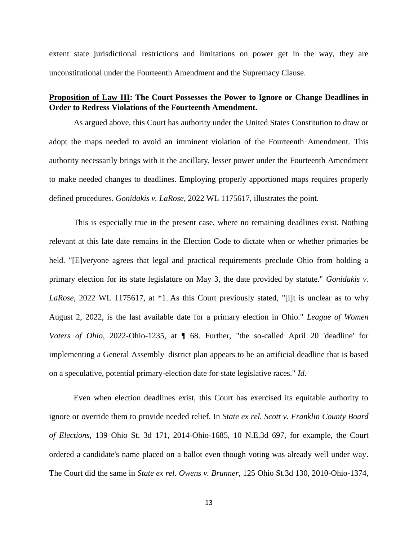extent state jurisdictional restrictions and limitations on power get in the way, they are unconstitutional under the Fourteenth Amendment and the Supremacy Clause.

## **Proposition of Law III: The Court Possesses the Power to Ignore or Change Deadlines in Order to Redress Violations of the Fourteenth Amendment.**

As argued above, this Court has authority under the United States Constitution to draw or adopt the maps needed to avoid an imminent violation of the Fourteenth Amendment. This authority necessarily brings with it the ancillary, lesser power under the Fourteenth Amendment to make needed changes to deadlines. Employing properly apportioned maps requires properly defined procedures. *Gonidakis v. LaRose*, 2022 WL 1175617, illustrates the point.

This is especially true in the present case, where no remaining deadlines exist. Nothing relevant at this late date remains in the Election Code to dictate when or whether primaries be held. "[E]veryone agrees that legal and practical requirements preclude Ohio from holding a primary election for its state legislature on May 3, the date provided by statute." *Gonidakis v. LaRose*, 2022 WL 1175617, at \*1. As this Court previously stated, "[i]t is unclear as to why August 2, 2022, is the last available date for a primary election in Ohio." *League of Women Voters of Ohio*, 2022-Ohio-1235, at ¶ 68. Further, "the so-called April 20 'deadline' for implementing a General Assembly–district plan appears to be an artificial deadline that is based on a speculative, potential primary-election date for state legislative races." *Id*.

Even when election deadlines exist, this Court has exercised its equitable authority to ignore or override them to provide needed relief. In *State ex rel. Scott v. Franklin County Board of Elections*, 139 Ohio St. 3d 171, 2014-Ohio-1685, 10 N.E.3d 697, for example, the Court ordered a candidate's name placed on a ballot even though voting was already well under way. The Court did the same in *State ex rel. Owens v. Brunner*, 125 Ohio St.3d 130, 2010-Ohio-1374,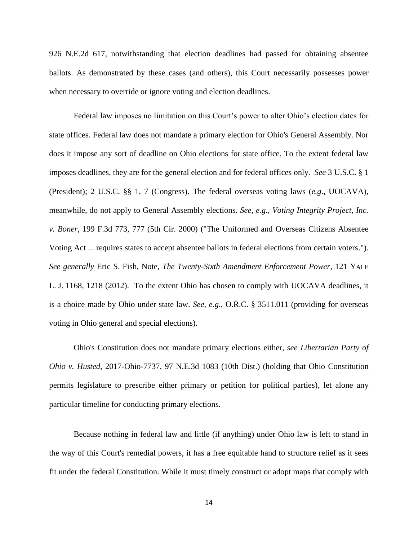926 N.E.2d 617, notwithstanding that election deadlines had passed for obtaining absentee ballots. As demonstrated by these cases (and others), this Court necessarily possesses power when necessary to override or ignore voting and election deadlines.

Federal law imposes no limitation on this Court's power to alter Ohio's election dates for state offices. Federal law does not mandate a primary election for Ohio's General Assembly. Nor does it impose any sort of deadline on Ohio elections for state office. To the extent federal law imposes deadlines, they are for the general election and for federal offices only. *See* 3 U.S.C. § 1 (President); 2 U.S.C. §§ 1, 7 (Congress). The federal overseas voting laws (*e.g*., UOCAVA), meanwhile, do not apply to General Assembly elections. *See*, *e.g*., *Voting Integrity Project, Inc. v. Boner*, 199 F.3d 773, 777 (5th Cir. 2000) ("The Uniformed and Overseas Citizens Absentee Voting Act ... requires states to accept absentee ballots in federal elections from certain voters."). *See generally* Eric S. Fish, Note, *The Twenty-Sixth Amendment Enforcement Power*, 121 YALE L. J. 1168, 1218 (2012). To the extent Ohio has chosen to comply with UOCAVA deadlines, it is a choice made by Ohio under state law. *See*, *e.g*., O.R.C. § 3511.011 (providing for overseas voting in Ohio general and special elections).

Ohio's Constitution does not mandate primary elections either, *see Libertarian Party of Ohio v. Husted*, 2017-Ohio-7737, 97 N.E.3d 1083 (10th Dist.) (holding that Ohio Constitution permits legislature to prescribe either primary or petition for political parties), let alone any particular timeline for conducting primary elections.

Because nothing in federal law and little (if anything) under Ohio law is left to stand in the way of this Court's remedial powers, it has a free equitable hand to structure relief as it sees fit under the federal Constitution. While it must timely construct or adopt maps that comply with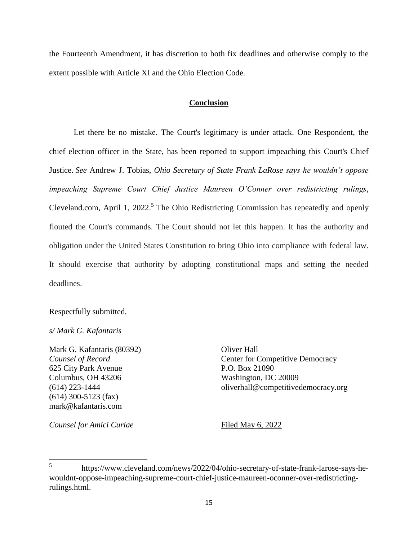the Fourteenth Amendment, it has discretion to both fix deadlines and otherwise comply to the extent possible with Article XI and the Ohio Election Code.

### **Conclusion**

Let there be no mistake. The Court's legitimacy is under attack. One Respondent, the chief election officer in the State, has been reported to support impeaching this Court's Chief Justice. *See* Andrew J. Tobias, *Ohio Secretary of State Frank LaRose says he wouldn't oppose impeaching Supreme Court Chief Justice Maureen O'Conner over redistricting rulings*, Cleveland.com, April 1, 2022.<sup>5</sup> The Ohio Redistricting Commission has repeatedly and openly flouted the Court's commands. The Court should not let this happen. It has the authority and obligation under the United States Constitution to bring Ohio into compliance with federal law. It should exercise that authority by adopting constitutional maps and setting the needed deadlines.

Respectfully submitted,

## *s/ Mark G. Kafantaris*

Mark G. Kafantaris (80392) Oliver Hall 625 City Park Avenue P.O. Box 21090 Columbus, OH 43206 Washington, DC 20009 (614) 300-5123 (fax) mark@kafantaris.com

**Counsel of Record** Center for Competitive Democracy (614) 223-1444 oliverhall@competitivedemocracy.org

*Counsel for Amici Curiae* Filed May 6, 2022

 5 https://www.cleveland.com/news/2022/04/ohio-secretary-of-state-frank-larose-says-hewouldnt-oppose-impeaching-supreme-court-chief-justice-maureen-oconner-over-redistrictingrulings.html.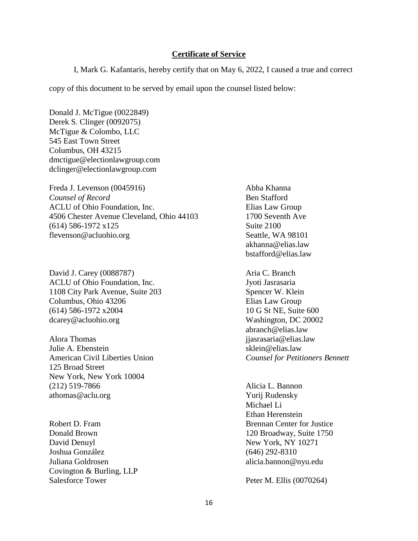## **Certificate of Service**

I, Mark G. Kafantaris, hereby certify that on May 6, 2022, I caused a true and correct

copy of this document to be served by email upon the counsel listed below:

Donald J. McTigue (0022849) Derek S. Clinger (0092075) McTigue & Colombo, LLC 545 East Town Street Columbus, OH 43215 dmctigue@electionlawgroup.com dclinger@electionlawgroup.com

Freda J. Levenson (0045916) Abha Khanna *Counsel of Record* Ben Stafford ACLU of Ohio Foundation, Inc. Elias Law Group 4506 Chester Avenue Cleveland, Ohio 44103 1700 Seventh Ave (614) 586-1972 x125 Suite 2100 flevenson@acluohio.org Seattle, WA 98101

David J. Carey (0088787) Aria C. Branch ACLU of Ohio Foundation, Inc. Solution of the Second Second Second Second Second Second Second Second Second Second Second Second Second Second Second Second Second Second Second Second Second Second Second Second Second S 1108 City Park Avenue, Suite 203 Spencer W. Klein Columbus, Ohio 43206 Elias Law Group (614) 586-1972 x2004 10 G St NE, Suite 600 dcarey@acluohio.org Washington, DC 20002

Alora Thomas is a set of the set of the set of the set of the set of the set of the set of the set of the set o Julie A. Ebenstein sklein@elias.law American Civil Liberties Union *Counsel for Petitioners Bennett* 125 Broad Street New York, New York 10004 (212) 519-7866 Alicia L. Bannon athomas@aclu.org Yurij Rudensky

Donald Brown 120 Broadway, Suite 1750 David Denuyl New York, NY 10271 Joshua González (646) 292-8310 Juliana Goldrosen alicia.bannon@nyu.edu Covington & Burling, LLP Salesforce Tower Peter M. Ellis (0070264)

akhanna@elias.law bstafford@elias.law

abranch@elias.law

Michael Li Ethan Herenstein Robert D. Fram Brennan Center for Justice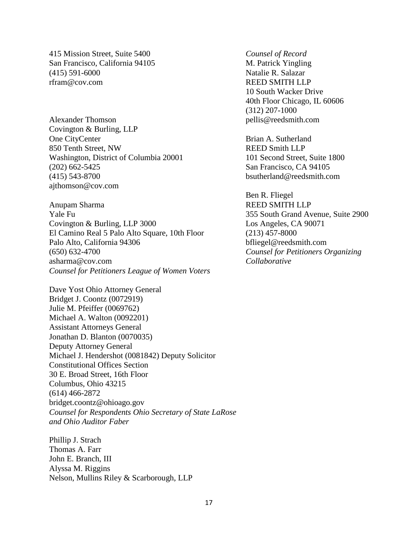415 Mission Street, Suite 5400 *Counsel of Record*  San Francisco, California 94105 M. Patrick Yingling (415) 591-6000 Natalie R. Salazar rfram@cov.com REED SMITH LLP

Alexander Thomson pellis@reedsmith.com Covington & Burling, LLP One CityCenter Brian A. Sutherland 850 Tenth Street, NW REED Smith LLP Washington, District of Columbia 20001 101 Second Street, Suite 1800 (202) 662-5425 San Francisco, CA 94105 (415) 543-8700 bsutherland@reedsmith.com ajthomson@cov.com

Anupam Sharma REED SMITH LLP Yale Fu 355 South Grand Avenue, Suite 2900 Covington & Burling, LLP 3000 Los Angeles, CA 90071 El Camino Real 5 Palo Alto Square, 10th Floor (213) 457-8000 Palo Alto, California 94306 bfliegel@reedsmith.com (650) 632-4700 *Counsel for Petitioners Organizing*  asharma@cov.com *Collaborative Counsel for Petitioners League of Women Voters*

Dave Yost Ohio Attorney General Bridget J. Coontz (0072919) Julie M. Pfeiffer (0069762) Michael A. Walton (0092201) Assistant Attorneys General Jonathan D. Blanton (0070035) Deputy Attorney General Michael J. Hendershot (0081842) Deputy Solicitor Constitutional Offices Section 30 E. Broad Street, 16th Floor Columbus, Ohio 43215 (614) 466-2872 bridget.coontz@ohioago.gov *Counsel for Respondents Ohio Secretary of State LaRose and Ohio Auditor Faber*

Phillip J. Strach Thomas A. Farr John E. Branch, III Alyssa M. Riggins Nelson, Mullins Riley & Scarborough, LLP

10 South Wacker Drive 40th Floor Chicago, IL 60606 (312) 207-1000

Ben R. Fliegel